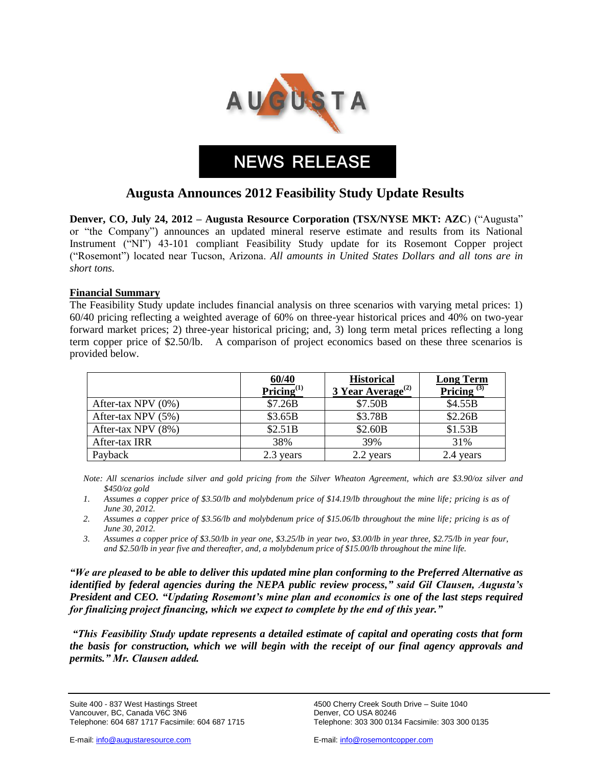

**NEWS RELEASE**

# **Augusta Announces 2012 Feasibility Study Update Results**

**Denver, CO, July 24, 2012 – Augusta Resource Corporation (TSX/NYSE MKT: AZC**) ("Augusta" or "the Company") announces an updated mineral reserve estimate and results from its National Instrument ("NI") 43-101 compliant Feasibility Study update for its Rosemont Copper project ("Rosemont") located near Tucson, Arizona. *All amounts in United States Dollars and all tons are in short tons.* 

### **Financial Summary**

The Feasibility Study update includes financial analysis on three scenarios with varying metal prices: 1) 60/40 pricing reflecting a weighted average of 60% on three-year historical prices and 40% on two-year forward market prices; 2) three-year historical pricing; and, 3) long term metal prices reflecting a long term copper price of \$2.50/lb. A comparison of project economics based on these three scenarios is provided below.

|                    | 60/40<br>Pricing $^{(1)}$ | <b>Historical</b><br>3 Year Average <sup>(2)</sup> | <b>Long Term</b><br>Pricing $(3)$ |
|--------------------|---------------------------|----------------------------------------------------|-----------------------------------|
| After-tax NPV (0%) | \$7.26B                   | \$7.50B                                            | \$4.55B                           |
| After-tax NPV (5%) | \$3.65B                   | \$3.78B                                            | \$2.26B                           |
| After-tax NPV (8%) | \$2.51B                   | \$2.60B                                            | \$1.53B                           |
| After-tax IRR      | 38%                       | 39%                                                | 31%                               |
| Payback            | 2.3 years                 | 2.2 years                                          | 2.4 years                         |

*Note: All scenarios include silver and gold pricing from the Silver Wheaton Agreement, which are \$3.90/oz silver and \$450/oz gold* 

- 1. Assumes a copper price of \$3.50/lb and molybdenum price of \$14.19/lb throughout the mine life; pricing is as of *June 30, 2012.*
- 2. Assumes a copper price of \$3.56/lb and molybdenum price of \$15.06/lb throughout the mine life; pricing is as of *June 30, 2012.*
- *3. Assumes a copper price of \$3.50/lb in year one, \$3.25/lb in year two, \$3.00/lb in year three, \$2.75/lb in year four, and \$2.50/lb in year five and thereafter, and, a molybdenum price of \$15.00/lb throughout the mine life.*

*"We are pleased to be able to deliver this updated mine plan conforming to the Preferred Alternative as identified by federal agencies during the NEPA public review process," said Gil Clausen, Augusta's President and CEO. "Updating Rosemont's mine plan and economics is one of the last steps required for finalizing project financing, which we expect to complete by the end of this year."*

*"This Feasibility Study update represents a detailed estimate of capital and operating costs that form the basis for construction, which we will begin with the receipt of our final agency approvals and permits." Mr. Clausen added.*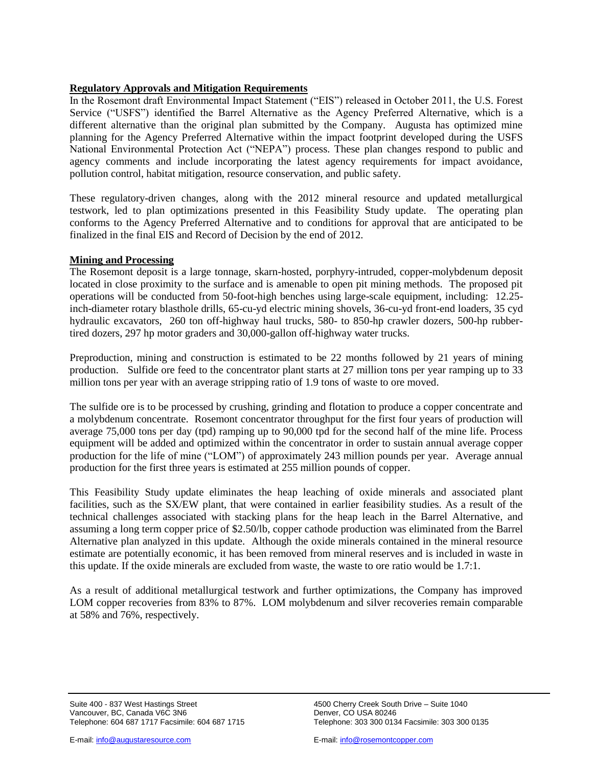## **Regulatory Approvals and Mitigation Requirements**

In the Rosemont draft Environmental Impact Statement ("EIS") released in October 2011, the U.S. Forest Service ("USFS") identified the Barrel Alternative as the Agency Preferred Alternative, which is a different alternative than the original plan submitted by the Company. Augusta has optimized mine planning for the Agency Preferred Alternative within the impact footprint developed during the USFS National Environmental Protection Act ("NEPA") process. These plan changes respond to public and agency comments and include incorporating the latest agency requirements for impact avoidance, pollution control, habitat mitigation, resource conservation, and public safety.

These regulatory-driven changes, along with the 2012 mineral resource and updated metallurgical testwork, led to plan optimizations presented in this Feasibility Study update. The operating plan conforms to the Agency Preferred Alternative and to conditions for approval that are anticipated to be finalized in the final EIS and Record of Decision by the end of 2012.

### **Mining and Processing**

The Rosemont deposit is a large tonnage, skarn-hosted, porphyry-intruded, copper-molybdenum deposit located in close proximity to the surface and is amenable to open pit mining methods. The proposed pit operations will be conducted from 50-foot-high benches using large-scale equipment, including: 12.25 inch-diameter rotary blasthole drills, 65-cu-yd electric mining shovels, 36-cu-yd front-end loaders, 35 cyd hydraulic excavators, 260 ton off-highway haul trucks, 580- to 850-hp crawler dozers, 500-hp rubbertired dozers, 297 hp motor graders and 30,000-gallon off-highway water trucks.

Preproduction, mining and construction is estimated to be 22 months followed by 21 years of mining production. Sulfide ore feed to the concentrator plant starts at 27 million tons per year ramping up to 33 million tons per year with an average stripping ratio of 1.9 tons of waste to ore moved.

The sulfide ore is to be processed by crushing, grinding and flotation to produce a copper concentrate and a molybdenum concentrate. Rosemont concentrator throughput for the first four years of production will average 75,000 tons per day (tpd) ramping up to 90,000 tpd for the second half of the mine life. Process equipment will be added and optimized within the concentrator in order to sustain annual average copper production for the life of mine ("LOM") of approximately 243 million pounds per year. Average annual production for the first three years is estimated at 255 million pounds of copper.

This Feasibility Study update eliminates the heap leaching of oxide minerals and associated plant facilities, such as the SX/EW plant, that were contained in earlier feasibility studies. As a result of the technical challenges associated with stacking plans for the heap leach in the Barrel Alternative, and assuming a long term copper price of \$2.50/lb, copper cathode production was eliminated from the Barrel Alternative plan analyzed in this update. Although the oxide minerals contained in the mineral resource estimate are potentially economic, it has been removed from mineral reserves and is included in waste in this update. If the oxide minerals are excluded from waste, the waste to ore ratio would be 1.7:1.

As a result of additional metallurgical testwork and further optimizations, the Company has improved LOM copper recoveries from 83% to 87%. LOM molybdenum and silver recoveries remain comparable at 58% and 76%, respectively.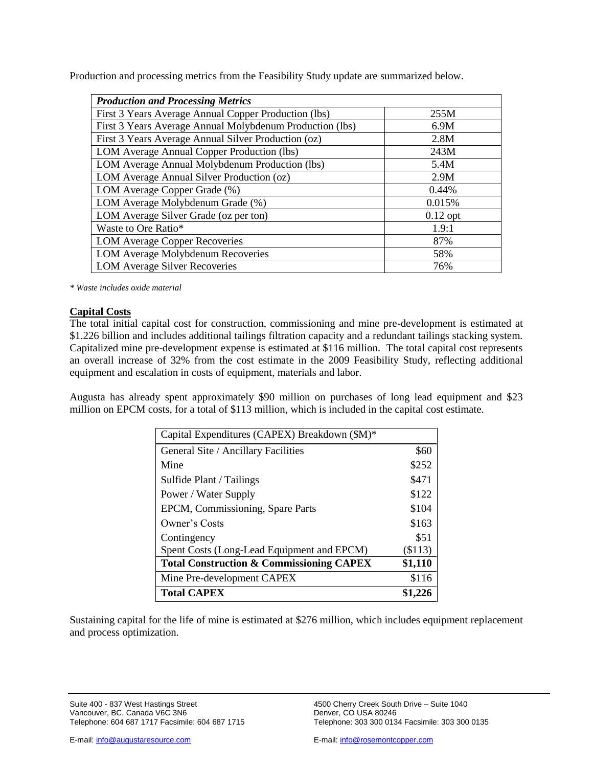Production and processing metrics from the Feasibility Study update are summarized below.

| <b>Production and Processing Metrics</b>                 |            |  |  |  |  |
|----------------------------------------------------------|------------|--|--|--|--|
| First 3 Years Average Annual Copper Production (lbs)     | 255M       |  |  |  |  |
| First 3 Years Average Annual Molybdenum Production (lbs) | 6.9M       |  |  |  |  |
| First 3 Years Average Annual Silver Production (oz)      | 2.8M       |  |  |  |  |
| LOM Average Annual Copper Production (lbs)               | 243M       |  |  |  |  |
| LOM Average Annual Molybdenum Production (lbs)           | 5.4M       |  |  |  |  |
| LOM Average Annual Silver Production (oz)                | 2.9M       |  |  |  |  |
| LOM Average Copper Grade (%)                             | 0.44%      |  |  |  |  |
| LOM Average Molybdenum Grade (%)                         | 0.015%     |  |  |  |  |
| LOM Average Silver Grade (oz per ton)                    | $0.12$ opt |  |  |  |  |
| Waste to Ore Ratio*                                      | 1.9:1      |  |  |  |  |
| <b>LOM Average Copper Recoveries</b>                     | 87%        |  |  |  |  |
| LOM Average Molybdenum Recoveries                        | 58%        |  |  |  |  |
| <b>LOM Average Silver Recoveries</b>                     | 76%        |  |  |  |  |

*\* Waste includes oxide material* 

### **Capital Costs**

The total initial capital cost for construction, commissioning and mine pre-development is estimated at \$1.226 billion and includes additional tailings filtration capacity and a redundant tailings stacking system. Capitalized mine pre-development expense is estimated at \$116 million. The total capital cost represents an overall increase of 32% from the cost estimate in the 2009 Feasibility Study, reflecting additional equipment and escalation in costs of equipment, materials and labor.

Augusta has already spent approximately \$90 million on purchases of long lead equipment and \$23 million on EPCM costs, for a total of \$113 million, which is included in the capital cost estimate.

| Capital Expenditures (CAPEX) Breakdown (\$M)*       |           |
|-----------------------------------------------------|-----------|
| General Site / Ancillary Facilities                 | \$60      |
| Mine                                                | \$252     |
| Sulfide Plant / Tailings                            | \$471     |
| Power / Water Supply                                | \$122     |
| EPCM, Commissioning, Spare Parts                    | \$104     |
| Owner's Costs                                       | \$163     |
| Contingency                                         | \$51      |
| Spent Costs (Long-Lead Equipment and EPCM)          | $(\$113)$ |
| <b>Total Construction &amp; Commissioning CAPEX</b> | \$1,110   |
| Mine Pre-development CAPEX                          | \$116     |
| <b>Total CAPEX</b>                                  | \$1,226   |

Sustaining capital for the life of mine is estimated at \$276 million, which includes equipment replacement and process optimization.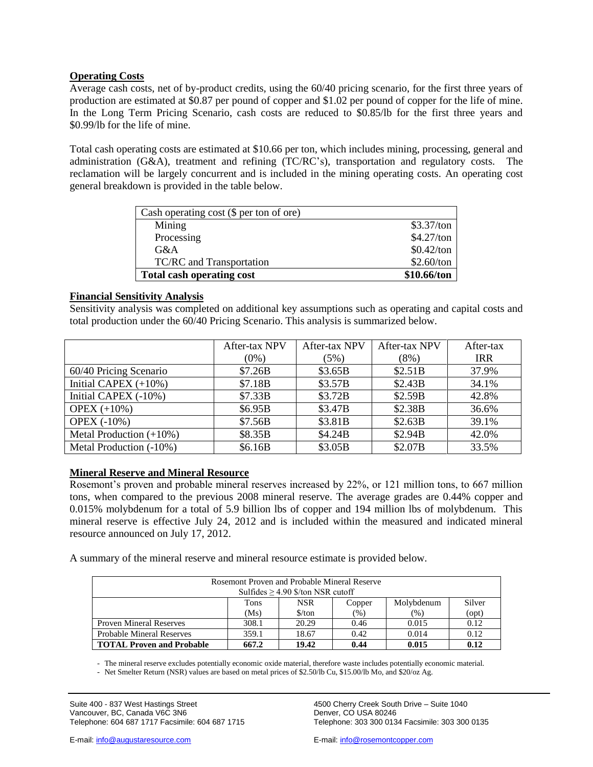### **Operating Costs**

Average cash costs, net of by-product credits, using the 60/40 pricing scenario, for the first three years of production are estimated at \$0.87 per pound of copper and \$1.02 per pound of copper for the life of mine. In the Long Term Pricing Scenario, cash costs are reduced to \$0.85/lb for the first three years and \$0.99/lb for the life of mine.

Total cash operating costs are estimated at \$10.66 per ton, which includes mining, processing, general and administration (G&A), treatment and refining (TC/RC's), transportation and regulatory costs. The reclamation will be largely concurrent and is included in the mining operating costs. An operating cost general breakdown is provided in the table below.

| Cash operating cost (\$ per ton of ore) |              |
|-----------------------------------------|--------------|
| Mining                                  | \$3.37/ton   |
| Processing                              | \$4.27/ton   |
| G&A                                     | $$0.42$ /ton |
| TC/RC and Transportation                | \$2.60/ton   |
| <b>Total cash operating cost</b>        | \$10.66/ton  |

### **Financial Sensitivity Analysis**

Sensitivity analysis was completed on additional key assumptions such as operating and capital costs and total production under the 60/40 Pricing Scenario. This analysis is summarized below.

|                            | After-tax NPV<br>After-tax NPV |         | <b>After-tax NPV</b> | After-tax  |
|----------------------------|--------------------------------|---------|----------------------|------------|
|                            | $(0\%)$                        | (5%)    | $(8\%)$              | <b>IRR</b> |
| 60/40 Pricing Scenario     | \$7.26B                        | \$3.65B | \$2.51B              | 37.9%      |
| Initial CAPEX $(+10\%)$    | \$7.18B                        | \$3.57B | \$2.43B              | 34.1%      |
| Initial CAPEX (-10%)       | \$7.33B                        | \$3.72B | \$2.59B              | 42.8%      |
| OPEX $(+10\%)$             | \$6.95B                        | \$3.47B | \$2.38B              | 36.6%      |
| <b>OPEX (-10%)</b>         | \$7.56B                        | \$3.81B | \$2.63B              | 39.1%      |
| Metal Production $(+10\%)$ | \$8.35B                        | \$4.24B | \$2.94B              | 42.0%      |
| Metal Production (-10%)    | \$6.16B                        | \$3.05B | \$2.07B              | 33.5%      |

### **Mineral Reserve and Mineral Resource**

Rosemont's proven and probable mineral reserves increased by 22%, or 121 million tons, to 667 million tons, when compared to the previous 2008 mineral reserve. The average grades are 0.44% copper and 0.015% molybdenum for a total of 5.9 billion lbs of copper and 194 million lbs of molybdenum. This mineral reserve is effective July 24, 2012 and is included within the measured and indicated mineral resource announced on July 17, 2012.

A summary of the mineral reserve and mineral resource estimate is provided below.

| Rosemont Proven and Probable Mineral Reserve<br>Sulfides $\geq$ 4.90 \$/ton NSR cutoff |       |                               |        |               |       |  |  |
|----------------------------------------------------------------------------------------|-------|-------------------------------|--------|---------------|-------|--|--|
| <b>NSR</b><br>Silver<br>Tons<br>Molybdenum<br>Copper                                   |       |                               |        |               |       |  |  |
|                                                                                        | (Ms)  | $\frac{\text{S}}{\text{ton}}$ | $(\%)$ | $\frac{9}{6}$ | (opt) |  |  |
| <b>Proven Mineral Reserves</b>                                                         | 308.1 | 20.29                         | 0.46   | 0.015         | 0.12  |  |  |
| <b>Probable Mineral Reserves</b>                                                       | 359.1 | 18.67                         | 0.42   | 0.014         | 0.12  |  |  |
| <b>TOTAL Proven and Probable</b>                                                       | 667.2 | 19.42                         | 0.44   | 0.015         | 0.12  |  |  |

- The mineral reserve excludes potentially economic oxide material, therefore waste includes potentially economic material.

- Net Smelter Return (NSR) values are based on metal prices of \$2.50/lb Cu, \$15.00/lb Mo, and \$20/oz Ag.

Suite 400 - 837 West Hastings Street 4500 Cherry Creek South Drive – Suite 1040<br>Vancouver, BC, Canada V6C 3N6 4500 Cherry COUSA 80246 Vancouver, BC, Canada V6C 3N6<br>Telephone: 604 687 1717 Facsimile: 604 687 1715

E-mail: info@augustaresource.com E-mail: info@rosemontcopper.com

Telephone: 303 300 0134 Facsimile: 303 300 0135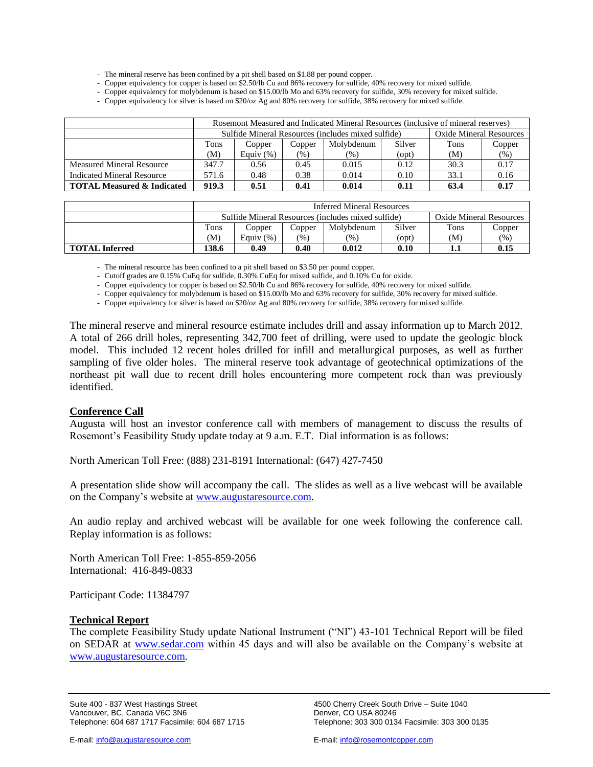- The mineral reserve has been confined by a pit shell based on \$1.88 per pound copper.

- Copper equivalency for copper is based on \$2.50/lb Cu and 86% recovery for sulfide, 40% recovery for mixed sulfide.

- Copper equivalency for molybdenum is based on \$15.00/lb Mo and 63% recovery for sulfide, 30% recovery for mixed sulfide.

- Copper equivalency for silver is based on \$20/oz Ag and 80% recovery for sulfide, 38% recovery for mixed sulfide.

|                                       | Rosemont Measured and Indicated Mineral Resources (inclusive of mineral reserves) |             |        |            |                                |             |        |
|---------------------------------------|-----------------------------------------------------------------------------------|-------------|--------|------------|--------------------------------|-------------|--------|
|                                       | Sulfide Mineral Resources (includes mixed sulfide)                                |             |        |            | <b>Oxide Mineral Resources</b> |             |        |
|                                       | Tons                                                                              | Copper      | Copper | Molybdenum | Silver                         | <b>Tons</b> | Copper |
|                                       | (M)                                                                               | Equiv $(%)$ | (% )   | $(\%)$     | $($ opt $)$                    | (M)         | (% )   |
| <b>Measured Mineral Resource</b>      | 347.7                                                                             | 0.56        | 0.45   | 0.015      | 0.12                           | 30.3        | 0.17   |
| Indicated Mineral Resource            | 571.6                                                                             | 0.48        | 0.38   | 0.014      | 0.10                           | 33.1        | 0.16   |
| <b>TOTAL Measured &amp; Indicated</b> | 919.3                                                                             | 0.51        | 0.41   | 0.014      | 0.11                           | 63.4        | 0.17   |

|                       | <b>Inferred Mineral Resources</b>                                             |             |        |               |        |      |        |
|-----------------------|-------------------------------------------------------------------------------|-------------|--------|---------------|--------|------|--------|
|                       | Oxide Mineral Resources<br>Sulfide Mineral Resources (includes mixed sulfide) |             |        |               |        |      |        |
|                       | Tons                                                                          | Copper      | Copper | Molvbdenum    | Silver | Tons | Copper |
|                       | (M)                                                                           | Equiv $(%)$ | (%)    | $\frac{1}{2}$ | (opt)  | (M)  | (96)   |
| <b>TOTAL Inferred</b> | 138.6                                                                         | 0.49        | 0.40   | 0.012         | 0.10   |      | 0.15   |

- The mineral resource has been confined to a pit shell based on \$3.50 per pound copper.

- Cutoff grades are 0.15% CuEq for sulfide, 0.30% CuEq for mixed sulfide, and 0.10% Cu for oxide.

- Copper equivalency for copper is based on \$2.50/lb Cu and 86% recovery for sulfide, 40% recovery for mixed sulfide.

- Copper equivalency for molybdenum is based on \$15.00/lb Mo and 63% recovery for sulfide, 30% recovery for mixed sulfide.

- Copper equivalency for silver is based on \$20/oz Ag and 80% recovery for sulfide, 38% recovery for mixed sulfide.

The mineral reserve and mineral resource estimate includes drill and assay information up to March 2012. A total of 266 drill holes, representing 342,700 feet of drilling, were used to update the geologic block model. This included 12 recent holes drilled for infill and metallurgical purposes, as well as further sampling of five older holes. The mineral reserve took advantage of geotechnical optimizations of the northeast pit wall due to recent drill holes encountering more competent rock than was previously identified.

### **Conference Call**

Augusta will host an investor conference call with members of management to discuss the results of Rosemont's Feasibility Study update today at 9 a.m. E.T. Dial information is as follows:

North American Toll Free: (888) 231-8191 International: (647) 427-7450

A presentation slide show will accompany the call. The slides as well as a live webcast will be available on the Company's website at [www.augustaresource.com.](http://www.augustaresource.com/)

An audio replay and archived webcast will be available for one week following the conference call. Replay information is as follows:

North American Toll Free: 1-855-859-2056 International: 416-849-0833

Participant Code: 11384797

### **Technical Report**

The complete Feasibility Study update National Instrument ("NI") 43-101 Technical Report will be filed on SEDAR at [www.sedar.com](http://www.sedar.com/) within 45 days and will also be available on the Company's website at [www.augustaresource.com.](http://www.augustaresource.com/)

Suite 400 - 837 West Hastings Street 4500 Cherry Creek South Drive – Suite 1040<br>Vancouver, BC, Canada V6C 3N6 4500 Cherry COUSA 80246 Vancouver, BC, Canada V6C 3N6 Telephone: 604 687 1717 Facsimile: 604 687 1715 Telephone: 303 300 0134 Facsimile: 303 300 0135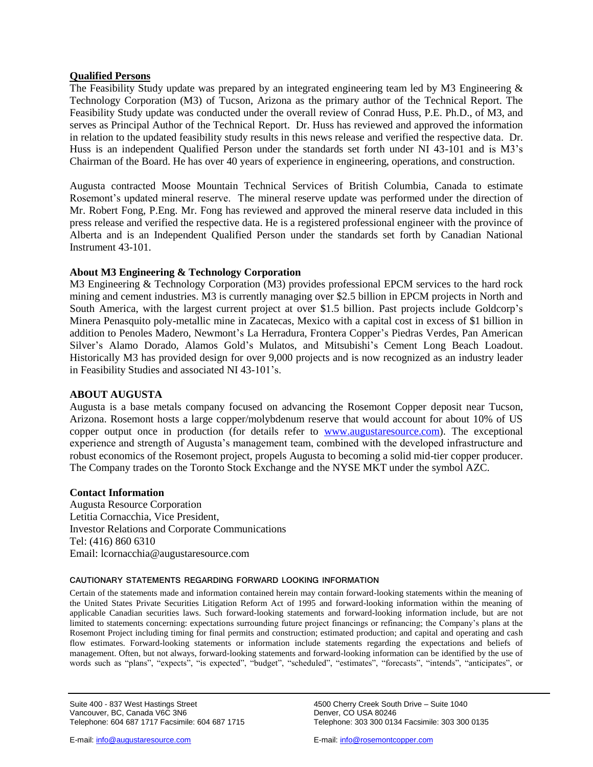## **Qualified Persons**

The Feasibility Study update was prepared by an integrated engineering team led by M3 Engineering & Technology Corporation (M3) of Tucson, Arizona as the primary author of the Technical Report. The Feasibility Study update was conducted under the overall review of Conrad Huss, P.E. Ph.D., of M3, and serves as Principal Author of the Technical Report. Dr. Huss has reviewed and approved the information in relation to the updated feasibility study results in this news release and verified the respective data. Dr. Huss is an independent Qualified Person under the standards set forth under NI 43-101 and is M3's Chairman of the Board. He has over 40 years of experience in engineering, operations, and construction.

Augusta contracted Moose Mountain Technical Services of British Columbia, Canada to estimate Rosemont's updated mineral reserve. The mineral reserve update was performed under the direction of Mr. Robert Fong, P.Eng. Mr. Fong has reviewed and approved the mineral reserve data included in this press release and verified the respective data. He is a registered professional engineer with the province of Alberta and is an Independent Qualified Person under the standards set forth by Canadian National Instrument 43-101.

### **About M3 Engineering & Technology Corporation**

M3 Engineering & Technology Corporation (M3) provides professional EPCM services to the hard rock mining and cement industries. M3 is currently managing over \$2.5 billion in EPCM projects in North and South America, with the largest current project at over \$1.5 billion. Past projects include Goldcorp's Minera Penasquito poly-metallic mine in Zacatecas, Mexico with a capital cost in excess of \$1 billion in addition to Penoles Madero, Newmont's La Herradura, Frontera Copper's Piedras Verdes, Pan American Silver's Alamo Dorado, Alamos Gold's Mulatos, and Mitsubishi's Cement Long Beach Loadout. Historically M3 has provided design for over 9,000 projects and is now recognized as an industry leader in Feasibility Studies and associated NI 43-101's.

### **ABOUT AUGUSTA**

Augusta is a base metals company focused on advancing the Rosemont Copper deposit near Tucson, Arizona. Rosemont hosts a large copper/molybdenum reserve that would account for about 10% of US copper output once in production (for details refer to [www.augustaresource.com\)](http://www.augustaresource.com/). The exceptional experience and strength of Augusta's management team, combined with the developed infrastructure and robust economics of the Rosemont project, propels Augusta to becoming a solid mid-tier copper producer. The Company trades on the Toronto Stock Exchange and the NYSE MKT under the symbol AZC.

### **Contact Information**

Augusta Resource Corporation Letitia Cornacchia, Vice President, Investor Relations and Corporate Communications Tel: (416) 860 6310 Email: [lcornacchia@augustaresource.com](mailto:lcornacchia@augustaresource.com)

### **CAUTIONARY STATEMENTS REGARDING FORWARD LOOKING INFORMATION**

Certain of the statements made and information contained herein may contain forward-looking statements within the meaning of the United States Private Securities Litigation Reform Act of 1995 and forward-looking information within the meaning of applicable Canadian securities laws. Such forward-looking statements and forward-looking information include, but are not limited to statements concerning: expectations surrounding future project financings or refinancing; the Company's plans at the Rosemont Project including timing for final permits and construction; estimated production; and capital and operating and cash flow estimates. Forward-looking statements or information include statements regarding the expectations and beliefs of management. Often, but not always, forward-looking statements and forward-looking information can be identified by the use of words such as "plans", "expects", "is expected", "budget", "scheduled", "estimates", "forecasts", "intends", "anticipates", or

Suite 400 - 837 West Hastings Street 4500 Cherry Creek South Drive – Suite 1040<br>Vancouver, BC, Canada V6C 3N6 4500 Cherry COUSA 80246 Vancouver, BC, Canada V6C 3N6 Telephone: 604 687 1717 Facsimile: 604 687 1715 Telephone: 303 300 0134 Facsimile: 303 300 0135